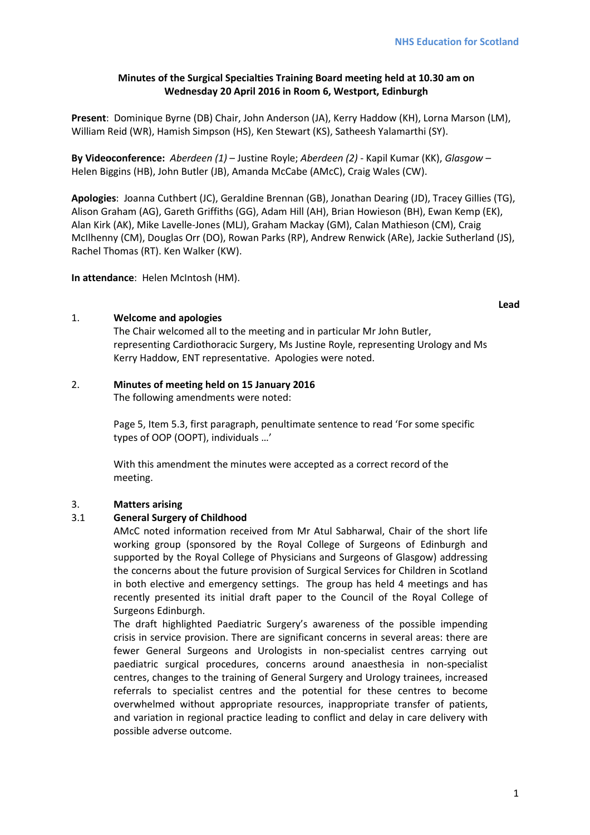# **Minutes of the Surgical Specialties Training Board meeting held at 10.30 am on Wednesday 20 April 2016 in Room 6, Westport, Edinburgh**

**Present**: Dominique Byrne (DB) Chair, John Anderson (JA), Kerry Haddow (KH), Lorna Marson (LM), William Reid (WR), Hamish Simpson (HS), Ken Stewart (KS), Satheesh Yalamarthi (SY).

**By Videoconference:** *Aberdeen (1)* – Justine Royle; *Aberdeen (2)* - Kapil Kumar (KK), *Glasgow –* Helen Biggins (HB), John Butler (JB), Amanda McCabe (AMcC), Craig Wales (CW).

**Apologies**: Joanna Cuthbert (JC), Geraldine Brennan (GB), Jonathan Dearing (JD), Tracey Gillies (TG), Alison Graham (AG), Gareth Griffiths (GG), Adam Hill (AH), Brian Howieson (BH), Ewan Kemp (EK), Alan Kirk (AK), Mike Lavelle-Jones (MLJ), Graham Mackay (GM), Calan Mathieson (CM), Craig McIlhenny (CM), Douglas Orr (DO), Rowan Parks (RP), Andrew Renwick (ARe), Jackie Sutherland (JS), Rachel Thomas (RT). Ken Walker (KW).

**In attendance**: Helen McIntosh (HM).

**Lead**

# 1. **Welcome and apologies**

The Chair welcomed all to the meeting and in particular Mr John Butler, representing Cardiothoracic Surgery, Ms Justine Royle, representing Urology and Ms Kerry Haddow, ENT representative. Apologies were noted.

# 2. **Minutes of meeting held on 15 January 2016**

The following amendments were noted:

Page 5, Item 5.3, first paragraph, penultimate sentence to read 'For some specific types of OOP (OOPT), individuals …'

With this amendment the minutes were accepted as a correct record of the meeting.

# 3. **Matters arising**

# 3.1 **General Surgery of Childhood**

AMcC noted information received from Mr Atul Sabharwal, Chair of the short life working group (sponsored by the Royal College of Surgeons of Edinburgh and supported by the Royal College of Physicians and Surgeons of Glasgow) addressing the concerns about the future provision of Surgical Services for Children in Scotland in both elective and emergency settings. The group has held 4 meetings and has recently presented its initial draft paper to the Council of the Royal College of Surgeons Edinburgh.

The draft highlighted Paediatric Surgery's awareness of the possible impending crisis in service provision. There are significant concerns in several areas: there are fewer General Surgeons and Urologists in non-specialist centres carrying out paediatric surgical procedures, concerns around anaesthesia in non-specialist centres, changes to the training of General Surgery and Urology trainees, increased referrals to specialist centres and the potential for these centres to become overwhelmed without appropriate resources, inappropriate transfer of patients, and variation in regional practice leading to conflict and delay in care delivery with possible adverse outcome.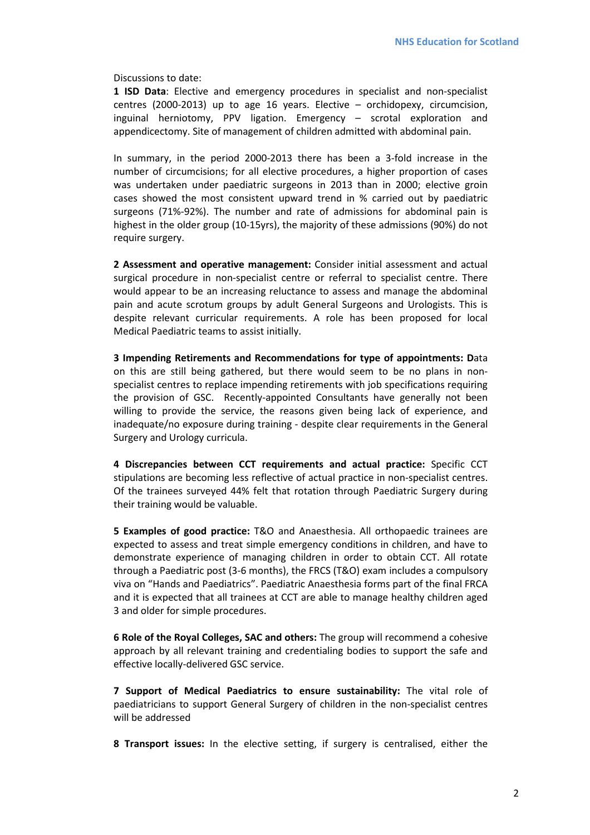Discussions to date:

**1 ISD Data**: Elective and emergency procedures in specialist and non-specialist centres (2000-2013) up to age 16 years. Elective – orchidopexy, circumcision, inguinal herniotomy, PPV ligation. Emergency – scrotal exploration and appendicectomy. Site of management of children admitted with abdominal pain.

In summary, in the period 2000-2013 there has been a 3-fold increase in the number of circumcisions; for all elective procedures, a higher proportion of cases was undertaken under paediatric surgeons in 2013 than in 2000; elective groin cases showed the most consistent upward trend in % carried out by paediatric surgeons (71%-92%). The number and rate of admissions for abdominal pain is highest in the older group (10-15yrs), the majority of these admissions (90%) do not require surgery.

**2 Assessment and operative management:** Consider initial assessment and actual surgical procedure in non-specialist centre or referral to specialist centre. There would appear to be an increasing reluctance to assess and manage the abdominal pain and acute scrotum groups by adult General Surgeons and Urologists. This is despite relevant curricular requirements. A role has been proposed for local Medical Paediatric teams to assist initially.

**3 Impending Retirements and Recommendations for type of appointments: D**ata on this are still being gathered, but there would seem to be no plans in nonspecialist centres to replace impending retirements with job specifications requiring the provision of GSC. Recently-appointed Consultants have generally not been willing to provide the service, the reasons given being lack of experience, and inadequate/no exposure during training - despite clear requirements in the General Surgery and Urology curricula.

**4 Discrepancies between CCT requirements and actual practice:** Specific CCT stipulations are becoming less reflective of actual practice in non-specialist centres. Of the trainees surveyed 44% felt that rotation through Paediatric Surgery during their training would be valuable.

**5 Examples of good practice:** T&O and Anaesthesia. All orthopaedic trainees are expected to assess and treat simple emergency conditions in children, and have to demonstrate experience of managing children in order to obtain CCT. All rotate through a Paediatric post (3-6 months), the FRCS (T&O) exam includes a compulsory viva on "Hands and Paediatrics". Paediatric Anaesthesia forms part of the final FRCA and it is expected that all trainees at CCT are able to manage healthy children aged 3 and older for simple procedures.

**6 Role of the Royal Colleges, SAC and others:** The group will recommend a cohesive approach by all relevant training and credentialing bodies to support the safe and effective locally-delivered GSC service.

**7 Support of Medical Paediatrics to ensure sustainability:** The vital role of paediatricians to support General Surgery of children in the non-specialist centres will be addressed

**8 Transport issues:** In the elective setting, if surgery is centralised, either the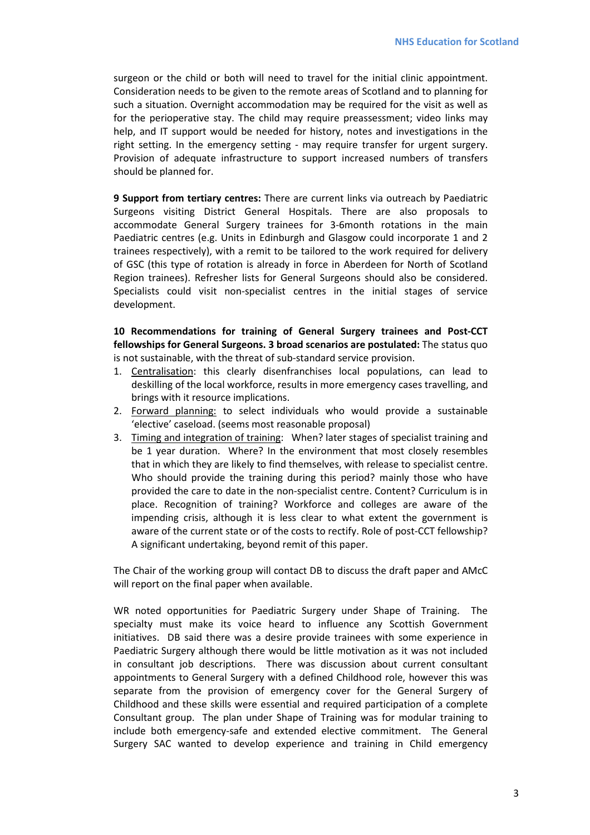surgeon or the child or both will need to travel for the initial clinic appointment. Consideration needs to be given to the remote areas of Scotland and to planning for such a situation. Overnight accommodation may be required for the visit as well as for the perioperative stay. The child may require preassessment; video links may help, and IT support would be needed for history, notes and investigations in the right setting. In the emergency setting - may require transfer for urgent surgery. Provision of adequate infrastructure to support increased numbers of transfers should be planned for.

**9 Support from tertiary centres:** There are current links via outreach by Paediatric Surgeons visiting District General Hospitals. There are also proposals to accommodate General Surgery trainees for 3-6month rotations in the main Paediatric centres (e.g. Units in Edinburgh and Glasgow could incorporate 1 and 2 trainees respectively), with a remit to be tailored to the work required for delivery of GSC (this type of rotation is already in force in Aberdeen for North of Scotland Region trainees). Refresher lists for General Surgeons should also be considered. Specialists could visit non-specialist centres in the initial stages of service development.

**10 Recommendations for training of General Surgery trainees and Post-CCT fellowships for General Surgeons. 3 broad scenarios are postulated:** The status quo is not sustainable, with the threat of sub-standard service provision.

- 1. Centralisation: this clearly disenfranchises local populations, can lead to deskilling of the local workforce, results in more emergency cases travelling, and brings with it resource implications.
- 2. Forward planning: to select individuals who would provide a sustainable 'elective' caseload. (seems most reasonable proposal)
- 3. Timing and integration of training: When? later stages of specialist training and be 1 year duration. Where? In the environment that most closely resembles that in which they are likely to find themselves, with release to specialist centre. Who should provide the training during this period? mainly those who have provided the care to date in the non-specialist centre. Content? Curriculum is in place. Recognition of training? Workforce and colleges are aware of the impending crisis, although it is less clear to what extent the government is aware of the current state or of the costs to rectify. Role of post-CCT fellowship? A significant undertaking, beyond remit of this paper.

The Chair of the working group will contact DB to discuss the draft paper and AMcC will report on the final paper when available.

WR noted opportunities for Paediatric Surgery under Shape of Training. The specialty must make its voice heard to influence any Scottish Government initiatives. DB said there was a desire provide trainees with some experience in Paediatric Surgery although there would be little motivation as it was not included in consultant job descriptions. There was discussion about current consultant appointments to General Surgery with a defined Childhood role, however this was separate from the provision of emergency cover for the General Surgery of Childhood and these skills were essential and required participation of a complete Consultant group. The plan under Shape of Training was for modular training to include both emergency-safe and extended elective commitment. The General Surgery SAC wanted to develop experience and training in Child emergency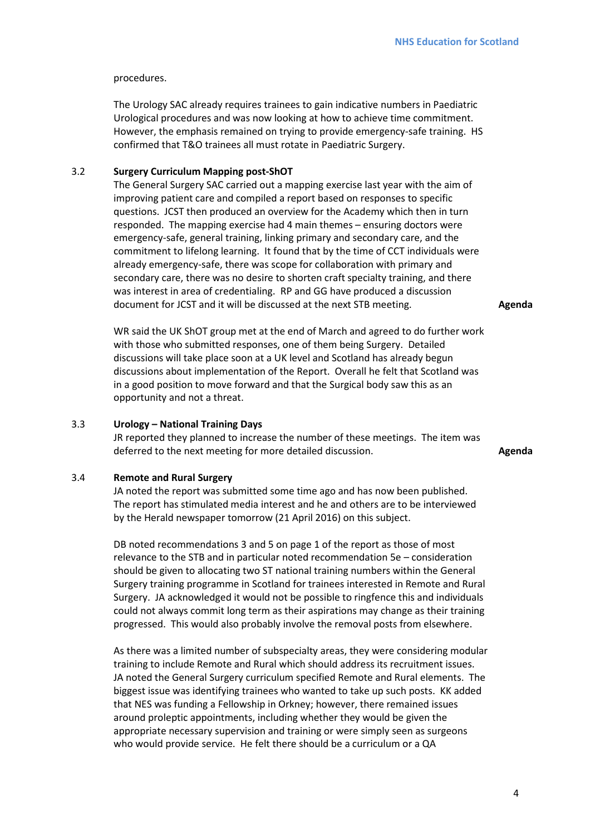#### procedures.

The Urology SAC already requires trainees to gain indicative numbers in Paediatric Urological procedures and was now looking at how to achieve time commitment. However, the emphasis remained on trying to provide emergency-safe training. HS confirmed that T&O trainees all must rotate in Paediatric Surgery.

# 3.2 **Surgery Curriculum Mapping post-ShOT**

The General Surgery SAC carried out a mapping exercise last year with the aim of improving patient care and compiled a report based on responses to specific questions. JCST then produced an overview for the Academy which then in turn responded. The mapping exercise had 4 main themes – ensuring doctors were emergency-safe, general training, linking primary and secondary care, and the commitment to lifelong learning. It found that by the time of CCT individuals were already emergency-safe, there was scope for collaboration with primary and secondary care, there was no desire to shorten craft specialty training, and there was interest in area of credentialing. RP and GG have produced a discussion document for JCST and it will be discussed at the next STB meeting.

**Agenda** 

WR said the UK ShOT group met at the end of March and agreed to do further work with those who submitted responses, one of them being Surgery. Detailed discussions will take place soon at a UK level and Scotland has already begun discussions about implementation of the Report. Overall he felt that Scotland was in a good position to move forward and that the Surgical body saw this as an opportunity and not a threat.

#### 3.3 **Urology – National Training Days**

JR reported they planned to increase the number of these meetings. The item was deferred to the next meeting for more detailed discussion. **Agenda** 

#### 3.4 **Remote and Rural Surgery**

JA noted the report was submitted some time ago and has now been published. The report has stimulated media interest and he and others are to be interviewed by the Herald newspaper tomorrow (21 April 2016) on this subject.

DB noted recommendations 3 and 5 on page 1 of the report as those of most relevance to the STB and in particular noted recommendation 5e – consideration should be given to allocating two ST national training numbers within the General Surgery training programme in Scotland for trainees interested in Remote and Rural Surgery. JA acknowledged it would not be possible to ringfence this and individuals could not always commit long term as their aspirations may change as their training progressed. This would also probably involve the removal posts from elsewhere.

As there was a limited number of subspecialty areas, they were considering modular training to include Remote and Rural which should address its recruitment issues. JA noted the General Surgery curriculum specified Remote and Rural elements. The biggest issue was identifying trainees who wanted to take up such posts. KK added that NES was funding a Fellowship in Orkney; however, there remained issues around proleptic appointments, including whether they would be given the appropriate necessary supervision and training or were simply seen as surgeons who would provide service. He felt there should be a curriculum or a QA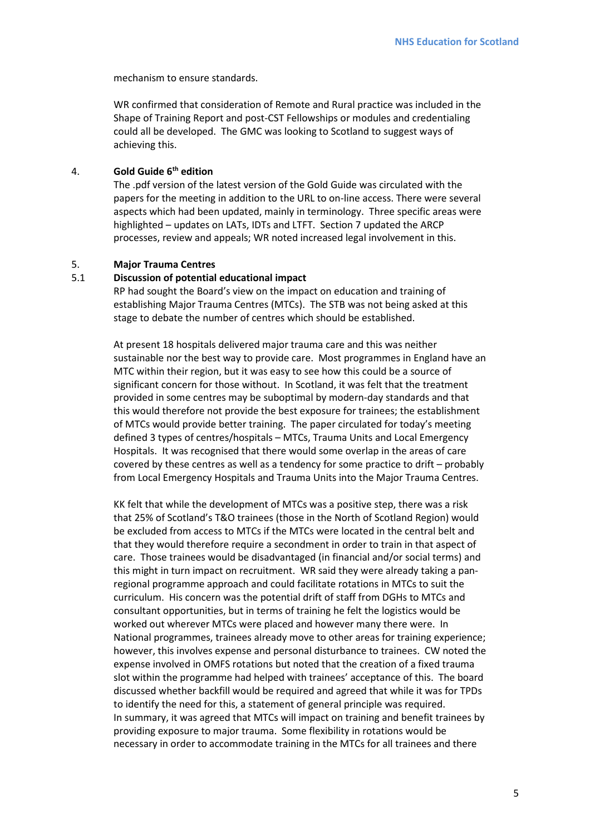mechanism to ensure standards.

WR confirmed that consideration of Remote and Rural practice was included in the Shape of Training Report and post-CST Fellowships or modules and credentialing could all be developed. The GMC was looking to Scotland to suggest ways of achieving this.

# 4. **Gold Guide 6th edition**

The .pdf version of the latest version of the Gold Guide was circulated with the papers for the meeting in addition to the URL to on-line access. There were several aspects which had been updated, mainly in terminology. Three specific areas were highlighted – updates on LATs, IDTs and LTFT. Section 7 updated the ARCP processes, review and appeals; WR noted increased legal involvement in this.

### 5. **Major Trauma Centres**

### 5.1 **Discussion of potential educational impact**

RP had sought the Board's view on the impact on education and training of establishing Major Trauma Centres (MTCs). The STB was not being asked at this stage to debate the number of centres which should be established.

At present 18 hospitals delivered major trauma care and this was neither sustainable nor the best way to provide care. Most programmes in England have an MTC within their region, but it was easy to see how this could be a source of significant concern for those without. In Scotland, it was felt that the treatment provided in some centres may be suboptimal by modern-day standards and that this would therefore not provide the best exposure for trainees; the establishment of MTCs would provide better training. The paper circulated for today's meeting defined 3 types of centres/hospitals – MTCs, Trauma Units and Local Emergency Hospitals. It was recognised that there would some overlap in the areas of care covered by these centres as well as a tendency for some practice to drift – probably from Local Emergency Hospitals and Trauma Units into the Major Trauma Centres.

KK felt that while the development of MTCs was a positive step, there was a risk that 25% of Scotland's T&O trainees (those in the North of Scotland Region) would be excluded from access to MTCs if the MTCs were located in the central belt and that they would therefore require a secondment in order to train in that aspect of care. Those trainees would be disadvantaged (in financial and/or social terms) and this might in turn impact on recruitment. WR said they were already taking a panregional programme approach and could facilitate rotations in MTCs to suit the curriculum. His concern was the potential drift of staff from DGHs to MTCs and consultant opportunities, but in terms of training he felt the logistics would be worked out wherever MTCs were placed and however many there were. In National programmes, trainees already move to other areas for training experience; however, this involves expense and personal disturbance to trainees. CW noted the expense involved in OMFS rotations but noted that the creation of a fixed trauma slot within the programme had helped with trainees' acceptance of this. The board discussed whether backfill would be required and agreed that while it was for TPDs to identify the need for this, a statement of general principle was required. In summary, it was agreed that MTCs will impact on training and benefit trainees by providing exposure to major trauma. Some flexibility in rotations would be necessary in order to accommodate training in the MTCs for all trainees and there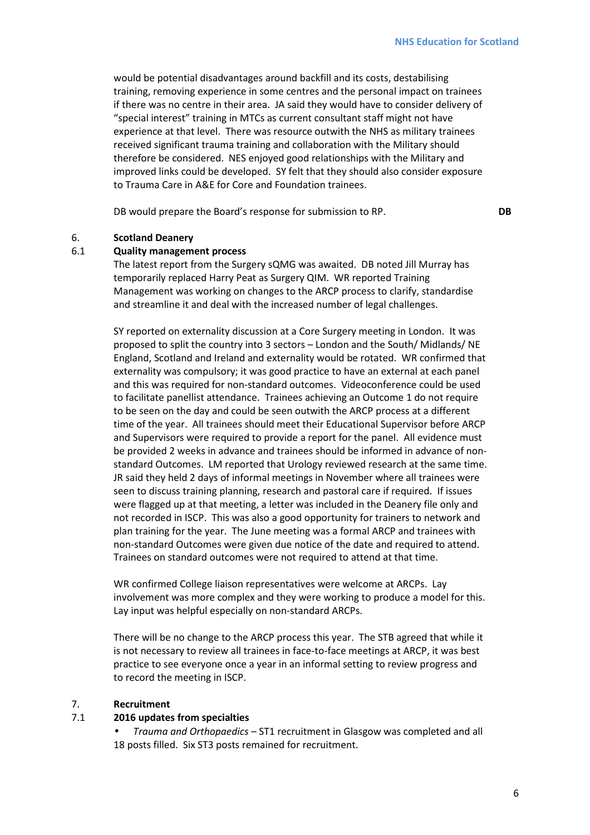would be potential disadvantages around backfill and its costs, destabilising training, removing experience in some centres and the personal impact on trainees if there was no centre in their area. JA said they would have to consider delivery of "special interest" training in MTCs as current consultant staff might not have experience at that level. There was resource outwith the NHS as military trainees received significant trauma training and collaboration with the Military should therefore be considered. NES enjoyed good relationships with the Military and improved links could be developed. SY felt that they should also consider exposure to Trauma Care in A&E for Core and Foundation trainees.

DB would prepare the Board's response for submission to RP. **DB** 

#### 6. **Scotland Deanery**

#### 6.1 **Quality management process**

The latest report from the Surgery sQMG was awaited. DB noted Jill Murray has temporarily replaced Harry Peat as Surgery QIM. WR reported Training Management was working on changes to the ARCP process to clarify, standardise and streamline it and deal with the increased number of legal challenges.

SY reported on externality discussion at a Core Surgery meeting in London. It was proposed to split the country into 3 sectors – London and the South/ Midlands/ NE England, Scotland and Ireland and externality would be rotated. WR confirmed that externality was compulsory; it was good practice to have an external at each panel and this was required for non-standard outcomes. Videoconference could be used to facilitate panellist attendance. Trainees achieving an Outcome 1 do not require to be seen on the day and could be seen outwith the ARCP process at a different time of the year. All trainees should meet their Educational Supervisor before ARCP and Supervisors were required to provide a report for the panel. All evidence must be provided 2 weeks in advance and trainees should be informed in advance of nonstandard Outcomes. LM reported that Urology reviewed research at the same time. JR said they held 2 days of informal meetings in November where all trainees were seen to discuss training planning, research and pastoral care if required. If issues were flagged up at that meeting, a letter was included in the Deanery file only and not recorded in ISCP. This was also a good opportunity for trainers to network and plan training for the year. The June meeting was a formal ARCP and trainees with non-standard Outcomes were given due notice of the date and required to attend. Trainees on standard outcomes were not required to attend at that time.

WR confirmed College liaison representatives were welcome at ARCPs. Lay involvement was more complex and they were working to produce a model for this. Lay input was helpful especially on non-standard ARCPs.

There will be no change to the ARCP process this year. The STB agreed that while it is not necessary to review all trainees in face-to-face meetings at ARCP, it was best practice to see everyone once a year in an informal setting to review progress and to record the meeting in ISCP.

#### 7. **Recruitment**

#### 7.1 **2016 updates from specialties**

• *Trauma and Orthopaedics –* ST1 recruitment in Glasgow was completed and all 18 posts filled. Six ST3 posts remained for recruitment.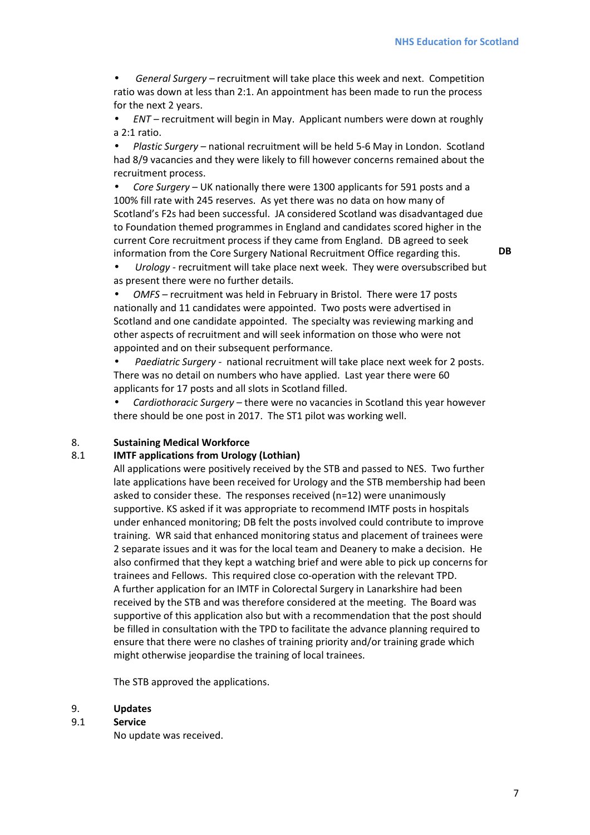• *General Surgery –* recruitment will take place this week and next. Competition ratio was down at less than 2:1. An appointment has been made to run the process for the next 2 years.

• *ENT –* recruitment will begin in May. Applicant numbers were down at roughly a 2:1 ratio.

• *Plastic Surgery* – national recruitment will be held 5-6 May in London. Scotland had 8/9 vacancies and they were likely to fill however concerns remained about the recruitment process.

• *Core Surgery* – UK nationally there were 1300 applicants for 591 posts and a 100% fill rate with 245 reserves. As yet there was no data on how many of Scotland's F2s had been successful. JA considered Scotland was disadvantaged due to Foundation themed programmes in England and candidates scored higher in the current Core recruitment process if they came from England. DB agreed to seek information from the Core Surgery National Recruitment Office regarding this.

**DB** 

• *Urology -* recruitment will take place next week. They were oversubscribed but as present there were no further details.

• *OMFS –* recruitment was held in February in Bristol. There were 17 posts nationally and 11 candidates were appointed. Two posts were advertised in Scotland and one candidate appointed. The specialty was reviewing marking and other aspects of recruitment and will seek information on those who were not appointed and on their subsequent performance.

• *Paediatric Surgery -* national recruitment will take place next week for 2 posts. There was no detail on numbers who have applied. Last year there were 60 applicants for 17 posts and all slots in Scotland filled.

• *Cardiothoracic Surgery –* there were no vacancies in Scotland this year however there should be one post in 2017. The ST1 pilot was working well.

#### 8. **Sustaining Medical Workforce**

## 8.1 **IMTF applications from Urology (Lothian)**

All applications were positively received by the STB and passed to NES. Two further late applications have been received for Urology and the STB membership had been asked to consider these. The responses received (n=12) were unanimously supportive. KS asked if it was appropriate to recommend IMTF posts in hospitals under enhanced monitoring; DB felt the posts involved could contribute to improve training. WR said that enhanced monitoring status and placement of trainees were 2 separate issues and it was for the local team and Deanery to make a decision. He also confirmed that they kept a watching brief and were able to pick up concerns for trainees and Fellows. This required close co-operation with the relevant TPD. A further application for an IMTF in Colorectal Surgery in Lanarkshire had been received by the STB and was therefore considered at the meeting. The Board was supportive of this application also but with a recommendation that the post should be filled in consultation with the TPD to facilitate the advance planning required to ensure that there were no clashes of training priority and/or training grade which might otherwise jeopardise the training of local trainees.

The STB approved the applications.

#### 9. **Updates**

9.1 **Service**

No update was received.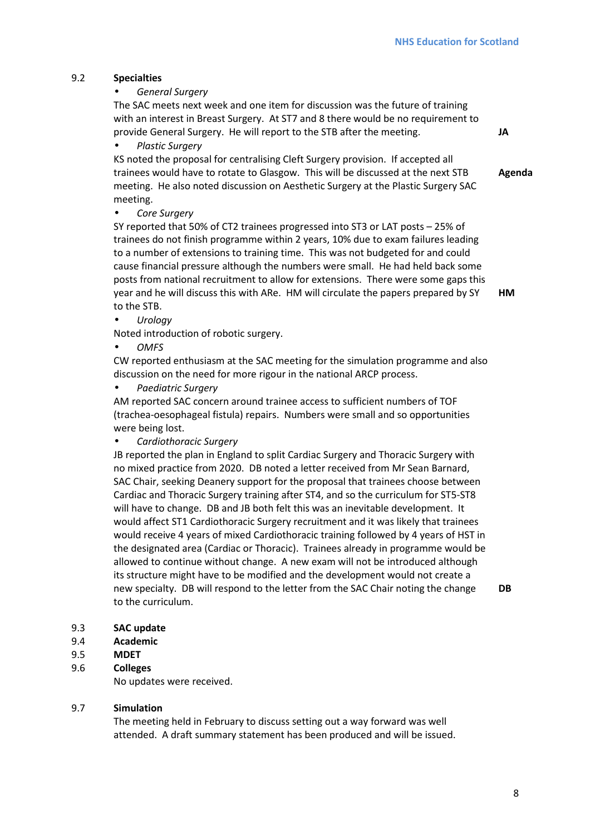**Agenda** 

# 9.2 **Specialties**

• *General Surgery* 

The SAC meets next week and one item for discussion was the future of training with an interest in Breast Surgery. At ST7 and 8 there would be no requirement to provide General Surgery. He will report to the STB after the meeting. **JA** 

• *Plastic Surgery* 

KS noted the proposal for centralising Cleft Surgery provision. If accepted all trainees would have to rotate to Glasgow. This will be discussed at the next STB meeting. He also noted discussion on Aesthetic Surgery at the Plastic Surgery SAC meeting.

• *Core Surgery* 

SY reported that 50% of CT2 trainees progressed into ST3 or LAT posts – 25% of trainees do not finish programme within 2 years, 10% due to exam failures leading to a number of extensions to training time. This was not budgeted for and could cause financial pressure although the numbers were small. He had held back some posts from national recruitment to allow for extensions. There were some gaps this year and he will discuss this with ARe. HM will circulate the papers prepared by SY to the STB. **HM** 

• *Urology* 

Noted introduction of robotic surgery.

• *OMFS* 

CW reported enthusiasm at the SAC meeting for the simulation programme and also discussion on the need for more rigour in the national ARCP process.

• *Paediatric Surgery* 

AM reported SAC concern around trainee access to sufficient numbers of TOF (trachea-oesophageal fistula) repairs. Numbers were small and so opportunities were being lost.

• *Cardiothoracic Surgery* 

JB reported the plan in England to split Cardiac Surgery and Thoracic Surgery with no mixed practice from 2020. DB noted a letter received from Mr Sean Barnard, SAC Chair, seeking Deanery support for the proposal that trainees choose between Cardiac and Thoracic Surgery training after ST4, and so the curriculum for ST5-ST8 will have to change. DB and JB both felt this was an inevitable development. It would affect ST1 Cardiothoracic Surgery recruitment and it was likely that trainees would receive 4 years of mixed Cardiothoracic training followed by 4 years of HST in the designated area (Cardiac or Thoracic). Trainees already in programme would be allowed to continue without change. A new exam will not be introduced although its structure might have to be modified and the development would not create a new specialty. DB will respond to the letter from the SAC Chair noting the change to the curriculum.

**DB** 

- 9.3 **SAC update**
- 9.4 **Academic**
- 9.5 **MDET**
- 9.6 **Colleges**

No updates were received.

### 9.7 **Simulation**

The meeting held in February to discuss setting out a way forward was well attended. A draft summary statement has been produced and will be issued.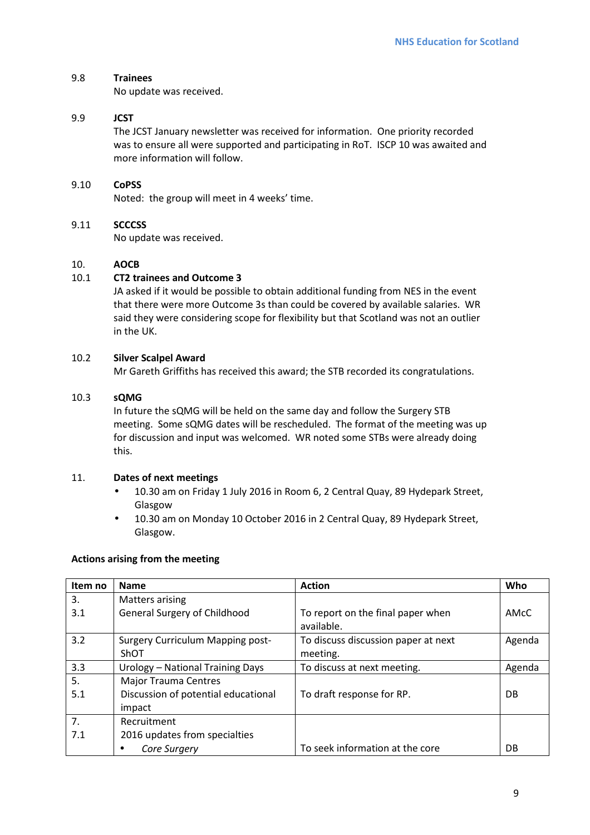# 9.8 **Trainees**

No update was received.

# 9.9 **JCST**

The JCST January newsletter was received for information. One priority recorded was to ensure all were supported and participating in RoT. ISCP 10 was awaited and more information will follow.

# 9.10 **CoPSS**

Noted: the group will meet in 4 weeks' time.

# 9.11 **SCCCSS**

No update was received.

# 10. **AOCB**

# 10.1 **CT2 trainees and Outcome 3**

JA asked if it would be possible to obtain additional funding from NES in the event that there were more Outcome 3s than could be covered by available salaries. WR said they were considering scope for flexibility but that Scotland was not an outlier in the UK.

# 10.2 **Silver Scalpel Award**

Mr Gareth Griffiths has received this award; the STB recorded its congratulations.

### 10.3 **sQMG**

In future the sQMG will be held on the same day and follow the Surgery STB meeting. Some sQMG dates will be rescheduled. The format of the meeting was up for discussion and input was welcomed. WR noted some STBs were already doing this.

### 11. **Dates of next meetings**

- 10.30 am on Friday 1 July 2016 in Room 6, 2 Central Quay, 89 Hydepark Street, Glasgow
- 10.30 am on Monday 10 October 2016 in 2 Central Quay, 89 Hydepark Street, Glasgow.

### **Actions arising from the meeting**

| Item no   | <b>Name</b>                                                                  | <b>Action</b>                                   | Who       |
|-----------|------------------------------------------------------------------------------|-------------------------------------------------|-----------|
| 3.        | Matters arising                                                              |                                                 |           |
| 3.1       | General Surgery of Childhood                                                 | To report on the final paper when<br>available. | AMcC      |
| 3.2       | <b>Surgery Curriculum Mapping post-</b><br>ShOT                              | To discuss discussion paper at next<br>meeting. | Agenda    |
| 3.3       | Urology - National Training Days                                             | To discuss at next meeting.                     | Agenda    |
| 5.<br>5.1 | <b>Major Trauma Centres</b><br>Discussion of potential educational<br>impact | To draft response for RP.                       | <b>DB</b> |
| 7.        | Recruitment                                                                  |                                                 |           |
| 7.1       | 2016 updates from specialties                                                |                                                 |           |
|           | Core Surgery                                                                 | To seek information at the core                 | DB        |